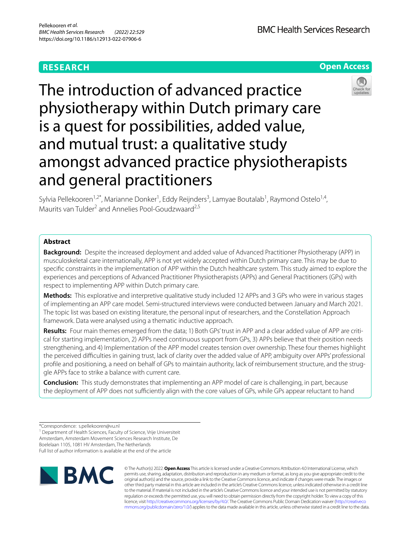## **RESEARCH**

**BMC Health Services Research** 

**Open Access**

# The introduction of advanced practice physiotherapy within Dutch primary care is a quest for possibilities, added value, and mutual trust: a qualitative study amongst advanced practice physiotherapists and general practitioners

Sylvia Pellekooren<sup>1,2\*</sup>, Marianne Donker<sup>1</sup>, Eddy Reijnders<sup>3</sup>, Lamyae Boutalab<sup>1</sup>, Raymond Ostelo<sup>1,4</sup>, Maurits van Tulder<sup>2</sup> and Annelies Pool-Goudzwaard<sup>2,5</sup>

## **Abstract**

**Background:** Despite the increased deployment and added value of Advanced Practitioner Physiotherapy (APP) in musculoskeletal care internationally, APP is not yet widely accepted within Dutch primary care. This may be due to specifc constraints in the implementation of APP within the Dutch healthcare system. This study aimed to explore the experiences and perceptions of Advanced Practitioner Physiotherapists (APPs) and General Practitioners (GPs) with respect to implementing APP within Dutch primary care.

**Methods:** This explorative and interpretive qualitative study included 12 APPs and 3 GPs who were in various stages of implementing an APP care model. Semi-structured interviews were conducted between January and March 2021. The topic list was based on existing literature, the personal input of researchers, and the Constellation Approach framework. Data were analysed using a thematic inductive approach.

Results: Four main themes emerged from the data; 1) Both GPs' trust in APP and a clear added value of APP are critical for starting implementation, 2) APPs need continuous support from GPs, 3) APPs believe that their position needs strengthening, and 4) Implementation of the APP model creates tension over ownership. These four themes highlight the perceived difculties in gaining trust, lack of clarity over the added value of APP, ambiguity over APPs' professional profile and positioning, a need on behalf of GPs to maintain authority, lack of reimbursement structure, and the struggle APPs face to strike a balance with current care.

**Conclusion:** This study demonstrates that implementing an APP model of care is challenging, in part, because the deployment of APP does not sufficiently align with the core values of GPs, while GPs appear reluctant to hand

<sup>1</sup> Department of Health Sciences, Faculty of Science, Vrije Universiteit Amsterdam, Amsterdam Movement Sciences Research Institute, De Boelelaan 1105, 1081 HV Amsterdam, The Netherlands

Full list of author information is available at the end of the article



© The Author(s) 2022. **Open Access** This article is licensed under a Creative Commons Attribution 4.0 International License, which permits use, sharing, adaptation, distribution and reproduction in any medium or format, as long as you give appropriate credit to the original author(s) and the source, provide a link to the Creative Commons licence, and indicate if changes were made. The images or other third party material in this article are included in the article's Creative Commons licence, unless indicated otherwise in a credit line to the material. If material is not included in the article's Creative Commons licence and your intended use is not permitted by statutory regulation or exceeds the permitted use, you will need to obtain permission directly from the copyright holder. To view a copy of this licence, visit [http://creativecommons.org/licenses/by/4.0/.](http://creativecommons.org/licenses/by/4.0/) The Creative Commons Public Domain Dedication waiver ([http://creativeco](http://creativecommons.org/publicdomain/zero/1.0/) [mmons.org/publicdomain/zero/1.0/](http://creativecommons.org/publicdomain/zero/1.0/)) applies to the data made available in this article, unless otherwise stated in a credit line to the data.



<sup>\*</sup>Correspondence: s.pellekooren@vu.nl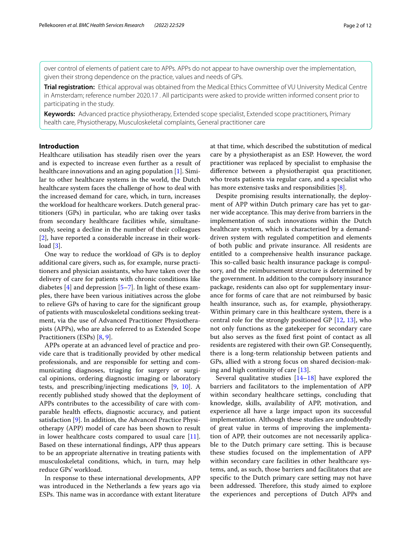over control of elements of patient care to APPs. APPs do not appear to have ownership over the implementation, given their strong dependence on the practice, values and needs of GPs.

**Trial registration:** Ethical approval was obtained from the Medical Ethics Committee of VU University Medical Centre in Amsterdam; reference number 2020.17 . All participants were asked to provide written informed consent prior to participating in the study.

**Keywords:** Advanced practice physiotherapy, Extended scope specialist, Extended scope practitioners, Primary health care, Physiotherapy, Musculoskeletal complaints, General practitioner care

## **Introduction**

Healthcare utilisation has steadily risen over the years and is expected to increase even further as a result of healthcare innovations and an aging population [[1\]](#page-11-0). Similar to other healthcare systems in the world, the Dutch healthcare system faces the challenge of how to deal with the increased demand for care, which, in turn, increases the workload for healthcare workers. Dutch general practitioners (GPs) in particular, who are taking over tasks from secondary healthcare facilities while, simultaneously, seeing a decline in the number of their colleagues [[2\]](#page-11-1), have reported a considerable increase in their workload [[3\]](#page-11-2).

One way to reduce the workload of GPs is to deploy additional care givers, such as, for example, nurse practitioners and physician assistants, who have taken over the delivery of care for patients with chronic conditions like diabetes  $[4]$  $[4]$  and depression  $[5-7]$  $[5-7]$ . In light of these examples, there have been various initiatives across the globe to relieve GPs of having to care for the signifcant group of patients with musculoskeletal conditions seeking treatment, via the use of Advanced Practitioner Physiotherapists (APPs), who are also referred to as Extended Scope Practitioners (ESPs) [\[8](#page-11-6), [9\]](#page-11-7).

APPs operate at an advanced level of practice and provide care that is traditionally provided by other medical professionals, and are responsible for setting and communicating diagnoses, triaging for surgery or surgical opinions, ordering diagnostic imaging or laboratory tests, and prescribing/injecting medications [\[9](#page-11-7), [10](#page-11-8)]. A recently published study showed that the deployment of APPs contributes to the accessibility of care with comparable health efects, diagnostic accuracy, and patient satisfaction [[9\]](#page-11-7). In addition, the Advanced Practice Physiotherapy (APP) model of care has been shown to result in lower healthcare costs compared to usual care [\[11](#page-11-9)]. Based on these international fndings, APP thus appears to be an appropriate alternative in treating patients with musculoskeletal conditions, which, in turn, may help reduce GPs' workload.

In response to these international developments, APP was introduced in the Netherlands a few years ago via ESPs. This name was in accordance with extant literature at that time, which described the substitution of medical care by a physiotherapist as an ESP. However, the word practitioner was replaced by specialist to emphasise the diference between a physiotherapist qua practitioner, who treats patients via regular care, and a specialist who has more extensive tasks and responsibilities [[8\]](#page-11-6).

Despite promising results internationally, the deployment of APP within Dutch primary care has yet to garner wide acceptance. This may derive from barriers in the implementation of such innovations within the Dutch healthcare system, which is characterised by a demanddriven system with regulated competition and elements of both public and private insurance. All residents are entitled to a comprehensive health insurance package. This so-called basic health insurance package is compulsory, and the reimbursement structure is determined by the government. In addition to the compulsory insurance package, residents can also opt for supplementary insurance for forms of care that are not reimbursed by basic health insurance, such as, for example, physiotherapy. Within primary care in this healthcare system, there is a central role for the strongly positioned GP [[12](#page-11-10), [13\]](#page-11-11), who not only functions as the gatekeeper for secondary care but also serves as the fxed frst point of contact as all residents are registered with their own GP. Consequently, there is a long-term relationship between patients and GPs, allied with a strong focus on shared decision-making and high continuity of care [[13\]](#page-11-11).

Several qualitative studies [[14](#page-11-12)[–18](#page-11-13)] have explored the barriers and facilitators to the implementation of APP within secondary healthcare settings, concluding that knowledge, skills, availability of APP, motivation, and experience all have a large impact upon its successful implementation. Although these studies are undoubtedly of great value in terms of improving the implementation of APP, their outcomes are not necessarily applicable to the Dutch primary care setting. This is because these studies focused on the implementation of APP within secondary care facilities in other healthcare systems, and, as such, those barriers and facilitators that are specifc to the Dutch primary care setting may not have been addressed. Therefore, this study aimed to explore the experiences and perceptions of Dutch APPs and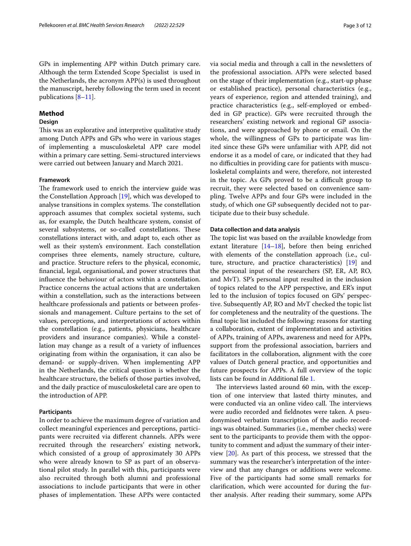GPs in implementing APP within Dutch primary care. Although the term Extended Scope Specialist is used in the Netherlands, the acronym APP(s) is used throughout the manuscript, hereby following the term used in recent publications [\[8](#page-11-6)[–11\]](#page-11-9).

## **Method**

## **Design**

This was an explorative and interpretive qualitative study among Dutch APPs and GPs who were in various stages of implementing a musculoskeletal APP care model within a primary care setting. Semi-structured interviews were carried out between January and March 2021.

## **Framework**

The framework used to enrich the interview guide was the Constellation Approach [\[19](#page-11-14)], which was developed to analyse transitions in complex systems. The constellation approach assumes that complex societal systems, such as, for example, the Dutch healthcare system, consist of several subsystems, or so-called constellations. These constellations interact with, and adapt to, each other as well as their system's environment. Each constellation comprises three elements, namely structure, culture, and practice. Structure refers to the physical, economic, fnancial, legal, organisational, and power structures that infuence the behaviour of actors within a constellation. Practice concerns the actual actions that are undertaken within a constellation, such as the interactions between healthcare professionals and patients or between professionals and management. Culture pertains to the set of values, perceptions, and interpretations of actors within the constellation (e.g., patients, physicians, healthcare providers and insurance companies). While a constellation may change as a result of a variety of infuences originating from within the organisation, it can also be demand- or supply-driven. When implementing APP in the Netherlands, the critical question is whether the healthcare structure, the beliefs of those parties involved, and the daily practice of musculoskeletal care are open to the introduction of APP.

#### **Participants**

In order to achieve the maximum degree of variation and collect meaningful experiences and perceptions, participants were recruited via diferent channels. APPs were recruited through the researchers' existing network, which consisted of a group of approximately 30 APPs who were already known to SP as part of an observational pilot study. In parallel with this, participants were also recruited through both alumni and professional associations to include participants that were in other phases of implementation. These APPs were contacted via social media and through a call in the newsletters of the professional association. APPs were selected based on the stage of their implementation (e.g., start-up phase or established practice), personal characteristics (e.g., years of experience, region and attended training), and practice characteristics (e.g., self-employed or embedded in GP practice). GPs were recruited through the researchers' existing network and regional GP associations, and were approached by phone or email. On the whole, the willingness of GPs to participate was limited since these GPs were unfamiliar with APP, did not endorse it as a model of care, or indicated that they had no difficulties in providing care for patients with musculoskeletal complaints and were, therefore, not interested in the topic. As GPs proved to be a difficult group to recruit, they were selected based on convenience sampling. Twelve APPs and four GPs were included in the study, of which one GP subsequently decided not to participate due to their busy schedule.

### **Data collection and data analysis**

The topic list was based on the available knowledge from extant literature  $[14–18]$  $[14–18]$  $[14–18]$ , before then being enriched with elements of the constellation approach (i.e., culture, structure, and practice characteristics) [[19\]](#page-11-14) and the personal input of the researchers (SP, ER, AP, RO, and MvT). SP's personal input resulted in the inclusion of topics related to the APP perspective, and ER's input led to the inclusion of topics focused on GPs' perspective. Subsequently AP, RO and MvT checked the topic list for completeness and the neutrality of the questions. The fnal topic list included the following: reasons for starting a collaboration, extent of implementation and activities of APPs, training of APPs, awareness and need for APPs, support from the professional association, barriers and facilitators in the collaboration, alignment with the core values of Dutch general practice, and opportunities and future prospects for APPs. A full overview of the topic lists can be found in Additional fle [1](#page-10-0).

The interviews lasted around 60 min, with the exception of one interview that lasted thirty minutes, and were conducted via an online video call. The interviews were audio recorded and feldnotes were taken. A pseudonymised verbatim transcription of the audio recordings was obtained. Summaries (i.e., member checks) were sent to the participants to provide them with the opportunity to comment and adjust the summary of their interview [[20\]](#page-11-15). As part of this process, we stressed that the summary was the researcher's interpretation of the interview and that any changes or additions were welcome. Five of the participants had some small remarks for clarifcation, which were accounted for during the further analysis. After reading their summary, some APPs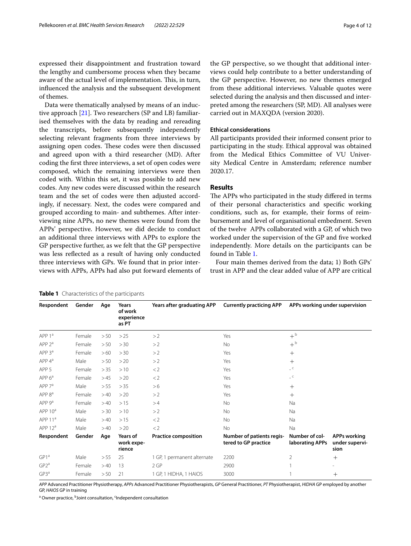expressed their disappointment and frustration toward the lengthy and cumbersome process when they became aware of the actual level of implementation. This, in turn, infuenced the analysis and the subsequent development of themes.

Data were thematically analysed by means of an inductive approach [[21](#page-11-16)]. Two researchers (SP and LB) familiarised themselves with the data by reading and rereading the transcripts, before subsequently independently selecting relevant fragments from three interviews by assigning open codes. These codes were then discussed and agreed upon with a third researcher (MD). After coding the frst three interviews, a set of open codes were composed, which the remaining interviews were then coded with. Within this set, it was possible to add new codes. Any new codes were discussed within the research team and the set of codes were then adjusted accordingly, if necessary. Next, the codes were compared and grouped according to main- and subthemes. After interviewing nine APPs, no new themes were found from the APPs' perspective. However, we did decide to conduct an additional three interviews with APPs to explore the GP perspective further, as we felt that the GP perspective was less refected as a result of having only conducted three interviews with GPs. We found that in prior interviews with APPs, APPs had also put forward elements of the GP perspective, so we thought that additional interviews could help contribute to a better understanding of the GP perspective. However, no new themes emerged from these additional interviews. Valuable quotes were selected during the analysis and then discussed and interpreted among the researchers (SP, MD). All analyses were carried out in MAXQDA (version 2020).

### **Ethical considerations**

All participants provided their informed consent prior to participating in the study. Ethical approval was obtained from the Medical Ethics Committee of VU University Medical Centre in Amsterdam; reference number 2020.17.

## **Results**

The APPs who participated in the study differed in terms of their personal characteristics and specifc working conditions, such as, for example, their forms of reimbursement and level of organisational embedment. Seven of the twelve APPs collaborated with a GP, of which two worked under the supervision of the GP and fve worked independently. More details on the participants can be found in Table [1.](#page-3-0)

Four main themes derived from the data; 1) Both GPs' trust in APP and the clear added value of APP are critical

| Respondent                    | Gender | Age  | Years<br>of work<br>experience<br>as PT | Years after graduating APP  | <b>Currently practicing APP</b>                          | APPs working under supervision                    |                                               |
|-------------------------------|--------|------|-----------------------------------------|-----------------------------|----------------------------------------------------------|---------------------------------------------------|-----------------------------------------------|
| APP <sub>1</sub> <sup>a</sup> | Female | > 50 | >25                                     | >2                          | Yes                                                      | $+^{\rm b}$                                       |                                               |
| APP <sub>2</sub> <sup>a</sup> | Female | > 50 | > 30                                    | >2                          | <b>No</b>                                                | $+^{\rm b}$                                       |                                               |
| APP 3ª                        | Female | >60  | > 30                                    | >2                          | Yes                                                      | $^{+}$                                            |                                               |
| $APP 4^a$                     | Male   | > 50 | >20                                     | >2                          | Yes                                                      | $+$                                               |                                               |
| APP <sub>5</sub>              | Female | > 35 | >10                                     | $<$ 2                       | Yes                                                      | $\overline{\phantom{a}}$ $\overline{\phantom{a}}$ |                                               |
| APP 6 <sup>a</sup>            | Female | >45  | >20                                     | $<$ 2                       | Yes                                                      | $\overline{C}$                                    |                                               |
| APP 7 <sup>a</sup>            | Male   | > 55 | > 35                                    | >6                          | Yes                                                      | $^{+}$                                            |                                               |
| APP 8ª                        | Female | >40  | >20                                     | >2                          | Yes                                                      | $^{+}$                                            |                                               |
| APP 9 <sup>a</sup>            | Female | >40  | >15                                     | >4                          | <b>No</b>                                                | Na                                                |                                               |
| APP 10 <sup>a</sup>           | Male   | > 30 | >10                                     | >2                          | <b>No</b>                                                | <b>Na</b>                                         |                                               |
| APP $11a$                     | Male   | >40  | >15                                     | $<$ 2                       | No                                                       | Na                                                |                                               |
| APP $12^a$                    | Male   | >40  | >20                                     | $<$ 2                       | No                                                       | Na                                                |                                               |
| Respondent                    | Gender | Age  | Years of<br>work expe-<br>rience        | <b>Practice composition</b> | <b>Number of patients regis-</b><br>tered to GP practice | Number of col-<br>laborating APPs                 | <b>APPs working</b><br>under supervi-<br>sion |
| GP1 <sup>a</sup>              | Male   | > 55 | 25                                      | 1 GP, 1 permanent alternate | 2200                                                     | 2                                                 | $^{+}$                                        |
| GP2 <sup>a</sup>              | Female | >40  | 13                                      | 2GP                         | 2900                                                     |                                                   |                                               |
| $GP3^a$                       | Female | > 50 | 21                                      | 1 GP, 1 HIDHA, 1 HAIOS      | 3000                                                     |                                                   | $+$                                           |

<span id="page-3-0"></span>**Table 1** Characteristics of the participants

*APP* Advanced Practitioner Physiotherapy, *APPs* Advanced Practitioner Physiotherapists, *GP* General Practitioner, *PT* Physiotherapist, *HIDHA* GP employed by another GP, *HAIOS* GP in training

<sup>a</sup> Owner practice, <sup>b</sup>Joint consultation, <sup>c</sup>Independent consultation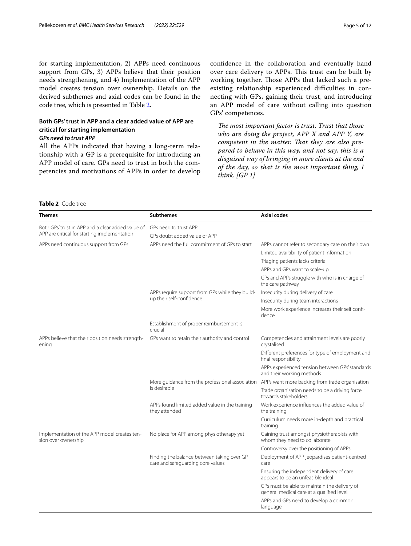for starting implementation, 2) APPs need continuous support from GPs, 3) APPs believe that their position needs strengthening, and 4) Implementation of the APP model creates tension over ownership. Details on the derived subthemes and axial codes can be found in the code tree, which is presented in Table [2](#page-4-0).

## **Both GPs' trust in APP and a clear added value of APP are critical for starting implementation**

## *GPs need to trust APP*

All the APPs indicated that having a long-term relationship with a GP is a prerequisite for introducing an APP model of care. GPs need to trust in both the competencies and motivations of APPs in order to develop confdence in the collaboration and eventually hand over care delivery to APPs. This trust can be built by working together. Those APPs that lacked such a preexisting relationship experienced difficulties in connecting with GPs, gaining their trust, and introducing an APP model of care without calling into question GPs' competences.

The most important factor is trust. Trust that those *who are doing the project, APP X and APP Y, are*  competent in the matter. That they are also pre*pared to behave in this way, and not say, this is a disguised way of bringing in more clients at the end of the day, so that is the most important thing, I think. [GP 1]*

## <span id="page-4-0"></span>**Table 2** Code tree

| Themes                                                              | <b>Subthemes</b>                                                                | <b>Axial codes</b>                                                                             |  |  |  |
|---------------------------------------------------------------------|---------------------------------------------------------------------------------|------------------------------------------------------------------------------------------------|--|--|--|
| Both GPs' trust in APP and a clear added value of                   | GPs need to trust APP                                                           |                                                                                                |  |  |  |
| APP are critical for starting implementation                        | GPs doubt added value of APP                                                    |                                                                                                |  |  |  |
| APPs need continuous support from GPs                               | APPs need the full commitment of GPs to start                                   | APPs cannot refer to secondary care on their own                                               |  |  |  |
|                                                                     |                                                                                 | Limited availability of patient information                                                    |  |  |  |
|                                                                     |                                                                                 | Triaging patients lacks criteria                                                               |  |  |  |
|                                                                     |                                                                                 | APPs and GPs want to scale-up                                                                  |  |  |  |
|                                                                     |                                                                                 | GPs and APPs struggle with who is in charge of<br>the care pathway                             |  |  |  |
|                                                                     | APPs require support from GPs while they build-                                 | Insecurity during delivery of care                                                             |  |  |  |
|                                                                     | up their self-confidence                                                        | Insecurity during team interactions                                                            |  |  |  |
|                                                                     |                                                                                 | More work experience increases their self confi-<br>dence                                      |  |  |  |
|                                                                     | Establishment of proper reimbursement is<br>crucial                             |                                                                                                |  |  |  |
| APPs believe that their position needs strength-<br>ening           | GPs want to retain their authority and control                                  | Competencies and attainment levels are poorly<br>crystalised                                   |  |  |  |
|                                                                     |                                                                                 | Different preferences for type of employment and<br>final responsibility                       |  |  |  |
|                                                                     |                                                                                 | APPs experienced tension between GPs' standards<br>and their working methods                   |  |  |  |
|                                                                     |                                                                                 | More quidance from the professional association APPs want more backing from trade organisation |  |  |  |
|                                                                     | is desirable                                                                    | Trade organisation needs to be a driving force<br>towards stakeholders                         |  |  |  |
|                                                                     | APPs found limited added value in the training<br>they attended                 | Work experience influences the added value of<br>the training                                  |  |  |  |
|                                                                     |                                                                                 | Curriculum needs more in-depth and practical<br>training                                       |  |  |  |
| Implementation of the APP model creates ten-<br>sion over ownership | No place for APP among physiotherapy yet                                        | Gaining trust amongst physiotherapists with<br>whom they need to collaborate                   |  |  |  |
|                                                                     |                                                                                 | Controversy over the positioning of APPs                                                       |  |  |  |
|                                                                     | Finding the balance between taking over GP<br>care and safeguarding core values | Deployment of APP jeopardises patient-centred<br>care                                          |  |  |  |
|                                                                     |                                                                                 | Ensuring the independent delivery of care<br>appears to be an unfeasible ideal                 |  |  |  |
|                                                                     |                                                                                 | GPs must be able to maintain the delivery of<br>general medical care at a qualified level      |  |  |  |
|                                                                     |                                                                                 | APPs and GPs need to develop a common<br>language                                              |  |  |  |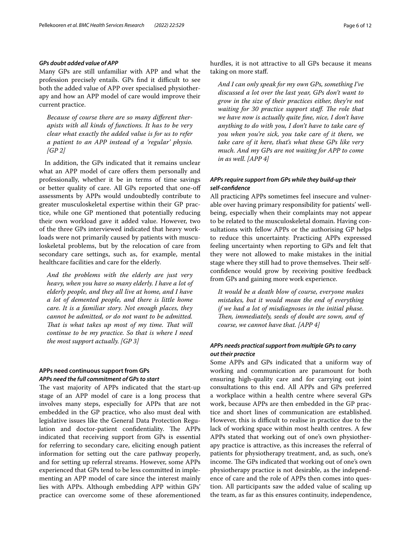## *GPs doubt added value of APP*

Many GPs are still unfamiliar with APP and what the profession precisely entails. GPs find it difficult to see both the added value of APP over specialised physiotherapy and how an APP model of care would improve their current practice.

*Because of course there are so many diferent therapists with all kinds of functions. It has to be very clear what exactly the added value is for us to refer a patient to an APP instead of a 'regular' physio. [GP 2]*

In addition, the GPs indicated that it remains unclear what an APP model of care offers them personally and professionally, whether it be in terms of time savings or better quality of care. All GPs reported that one-of assessments by APPs would undoubtedly contribute to greater musculoskeletal expertise within their GP practice, while one GP mentioned that potentially reducing their own workload gave it added value. However, two of the three GPs interviewed indicated that heavy workloads were not primarily caused by patients with musculoskeletal problems, but by the relocation of care from secondary care settings, such as, for example, mental healthcare facilities and care for the elderly.

*And the problems with the elderly are just very heavy, when you have so many elderly. I have a lot of elderly people, and they all live at home, and I have a lot of demented people, and there is little home care. It is a familiar story. Not enough places, they cannot be admitted, or do not want to be admitted. That is what takes up most of my time. That will continue to be my practice. So that is where I need the most support actually. [GP 3]*

## **APPs need continuous support from GPs** *APPs need the full commitment of GPs to start*

The vast majority of APPs indicated that the start-up stage of an APP model of care is a long process that involves many steps, especially for APPs that are not embedded in the GP practice, who also must deal with legislative issues like the General Data Protection Regulation and doctor-patient confidentiality. The APPs indicated that receiving support from GPs is essential for referring to secondary care, eliciting enough patient information for setting out the care pathway properly, and for setting up referral streams. However, some APPs experienced that GPs tend to be less committed in implementing an APP model of care since the interest mainly lies with APPs. Although embedding APP within GPs' practice can overcome some of these aforementioned hurdles, it is not attractive to all GPs because it means taking on more staf.

*And I can only speak for my own GPs, something I've discussed a lot over the last year, GPs don't want to grow in the size of their practices either, they're not waiting for 30 practice support staff. The role that we have now is actually quite fne, nice, I don't have anything to do with you, I don't have to take care of you when you're sick, you take care of it there, we take care of it here, that's what these GPs like very much. And my GPs are not waiting for APP to come in as well. [APP 4]*

## *APPs require support from GPs while they build‑up their self‑confdence*

All practicing APPs sometimes feel insecure and vulnerable over having primary responsibility for patients' wellbeing, especially when their complaints may not appear to be related to the musculoskeletal domain. Having consultations with fellow APPs or the authorising GP helps to reduce this uncertainty. Practicing APPs expressed feeling uncertainty when reporting to GPs and felt that they were not allowed to make mistakes in the initial stage where they still had to prove themselves. Their selfconfdence would grow by receiving positive feedback from GPs and gaining more work experience.

*It would be a death blow of course, everyone makes mistakes, but it would mean the end of everything if we had a lot of misdiagnoses in the initial phase. Then, immediately, seeds of doubt are sown, and of course, we cannot have that. [APP 4]*

## *APPs needs practical support from multiple GPs to carry out their practice*

Some APPs and GPs indicated that a uniform way of working and communication are paramount for both ensuring high-quality care and for carrying out joint consultations to this end. All APPs and GPs preferred a workplace within a health centre where several GPs work, because APPs are then embedded in the GP practice and short lines of communication are established. However, this is difficult to realise in practice due to the lack of working space within most health centres. A few APPs stated that working out of one's own physiotherapy practice is attractive, as this increases the referral of patients for physiotherapy treatment, and, as such, one's income. The GPs indicated that working out of one's own physiotherapy practice is not desirable, as the independence of care and the role of APPs then comes into question. All participants saw the added value of scaling up the team, as far as this ensures continuity, independence,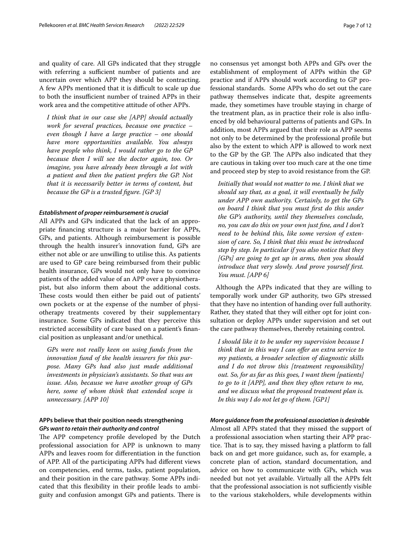and quality of care. All GPs indicated that they struggle with referring a sufficient number of patients and are uncertain over which APP they should be contracting. A few APPs mentioned that it is difficult to scale up due to both the insufficient number of trained APPs in their work area and the competitive attitude of other APPs.

*I think that in our case she [APP] should actually work for several practices, because one practice – even though I have a large practice – one should have more opportunities available. You always have people who think, I would rather go to the GP because then I will see the doctor again, too. Or imagine, you have already been through a lot with a patient and then the patient prefers the GP. Not that it is necessarily better in terms of content, but because the GP is a trusted fgure. [GP 3]*

#### *Establishment of proper reimbursement is crucial*

All APPs and GPs indicated that the lack of an appropriate fnancing structure is a major barrier for APPs, GPs, and patients. Although reimbursement is possible through the health insurer's innovation fund, GPs are either not able or are unwilling to utilise this. As patients are used to GP care being reimbursed from their public health insurance, GPs would not only have to convince patients of the added value of an APP over a physiotherapist, but also inform them about the additional costs. These costs would then either be paid out of patients' own pockets or at the expense of the number of physiotherapy treatments covered by their supplementary insurance. Some GPs indicated that they perceive this restricted accessibility of care based on a patient's fnancial position as unpleasant and/or unethical.

*GPs were not really keen on using funds from the innovation fund of the health insurers for this purpose. Many GPs had also just made additional investments in physician's assistants. So that was an issue. Also, because we have another group of GPs here, some of whom think that extended scope is unnecessary. [APP 10]*

## **APPs believe that their position needs strengthening** *GPs want to retain their authority and control*

The APP competency profile developed by the Dutch professional association for APP is unknown to many APPs and leaves room for diferentiation in the function of APP. All of the participating APPs had diferent views on competencies, end terms, tasks, patient population, and their position in the care pathway. Some APPs indicated that this fexibility in their profle leads to ambiguity and confusion amongst GPs and patients. There is no consensus yet amongst both APPs and GPs over the establishment of employment of APPs within the GP practice and if APPs should work according to GP professional standards. Some APPs who do set out the care pathway themselves indicate that, despite agreements made, they sometimes have trouble staying in charge of the treatment plan, as in practice their role is also infuenced by old behavioural patterns of patients and GPs. In addition, most APPs argued that their role as APP seems not only to be determined by the professional profle but also by the extent to which APP is allowed to work next to the GP by the GP. The APPs also indicated that they are cautious in taking over too much care at the one time and proceed step by step to avoid resistance from the GP.

*Initially that would not matter to me. I think that we should say that, as a goal, it will eventually be fully under APP own authority. Certainly, to get the GPs on board I think that you must frst do this under the GP's authority, until they themselves conclude, no, you can do this on your own just fne, and I don't need to be behind this, like some version of extension of care. So, I think that this must be introduced step by step. In particular if you also notice that they [GPs] are going to get up in arms, then you should introduce that very slowly. And prove yourself frst. You must. [APP 6]*

Although the APPs indicated that they are willing to temporally work under GP authority, two GPs stressed that they have no intention of handing over full authority. Rather, they stated that they will either opt for joint consultation or deploy APPs under supervision and set out the care pathway themselves, thereby retaining control.

*I should like it to be under my supervision because I think that in this way I can ofer an extra service to my patients, a broader selection of diagnostic skills and I do not throw this [treatment responsibility] out. So, for as far as this goes, I want them [patients] to go to it [APP], and then they often return to me, and we discuss what the proposed treatment plan is. In this way I do not let go of them. [GP1]*

### *More guidance from the professional association is desirable*

Almost all APPs stated that they missed the support of a professional association when starting their APP practice. That is to say, they missed having a platform to fall back on and get more guidance, such as, for example, a concrete plan of action, standard documentation, and advice on how to communicate with GPs, which was needed but not yet available. Virtually all the APPs felt that the professional association is not sufficiently visible to the various stakeholders, while developments within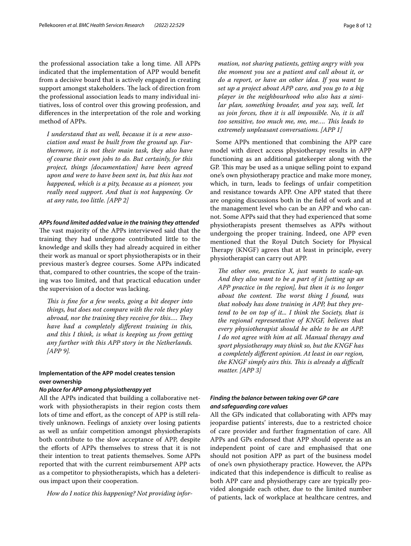the professional association take a long time. All APPs indicated that the implementation of APP would beneft from a decisive board that is actively engaged in creating support amongst stakeholders. The lack of direction from the professional association leads to many individual initiatives, loss of control over this growing profession, and diferences in the interpretation of the role and working method of APPs.

*I understand that as well, because it is a new association and must be built from the ground up. Furthermore, it is not their main task, they also have of course their own jobs to do. But certainly, for this project, things [documentation] have been agreed upon and were to have been sent in, but this has not happened, which is a pity, because as a pioneer, you really need support. And that is not happening. Or at any rate, too little. [APP 2]*

### *APPs found limited added value in the training they attended*

The vast majority of the APPs interviewed said that the training they had undergone contributed little to the knowledge and skills they had already acquired in either their work as manual or sport physiotherapists or in their previous master's degree courses. Some APPs indicated that, compared to other countries, the scope of the training was too limited, and that practical education under the supervision of a doctor was lacking.

*Tis is fne for a few weeks, going a bit deeper into things, but does not compare with the role they play abroad, nor the training they receive for this.... They have had a completely diferent training in this, and this I think, is what is keeping us from getting any further with this APP story in the Netherlands. [APP 9].*

## **Implementation of the APP model creates tension over ownership**

#### *No place for APP among physiotherapy yet*

All the APPs indicated that building a collaborative network with physiotherapists in their region costs them lots of time and effort, as the concept of APP is still relatively unknown. Feelings of anxiety over losing patients as well as unfair competition amongst physiotherapists both contribute to the slow acceptance of APP, despite the eforts of APPs themselves to stress that it is not their intention to treat patients themselves. Some APPs reported that with the current reimbursement APP acts as a competitor to physiotherapists, which has a deleterious impact upon their cooperation.

*How do I notice this happening? Not providing infor-*

*mation, not sharing patients, getting angry with you the moment you see a patient and call about it, or do a report, or have an other idea. If you want to set up a project about APP care, and you go to a big player in the neighbourhood who also has a similar plan, something broader, and you say, well, let us join forces, then it is all impossible. No, it is all too sensitive, too much me, me, me…. Tis leads to extremely unpleasant conversations. [APP 1]*

Some APPs mentioned that combining the APP care model with direct access physiotherapy results in APP functioning as an additional gatekeeper along with the GP. This may be used as a unique selling point to expand one's own physiotherapy practice and make more money, which, in turn, leads to feelings of unfair competition and resistance towards APP. One APP stated that there are ongoing discussions both in the feld of work and at the management level who can be an APP and who cannot. Some APPs said that they had experienced that some physiotherapists present themselves as APPs without undergoing the proper training. Indeed, one APP even mentioned that the Royal Dutch Society for Physical Therapy (KNGF) agrees that at least in principle, every physiotherapist can carry out APP.

*The other one, practice X, just wants to scale-up. And they also want to be a part of it [setting up an APP practice in the region], but then it is no longer about the content. The worst thing I found, was that nobody has done training in APP, but they pretend to be on top of it... I think the Society, that is the regional representative of KNGF, believes that every physiotherapist should be able to be an APP. I do not agree with him at all. Manual therapy and sport physiotherapy may think so, but the KNGF has a completely diferent opinion. At least in our region, the KNGF simply airs this. This is already a difficult matter. [APP 3]*

## *Finding the balance between taking over GP care and safeguarding core values*

All the GPs indicated that collaborating with APPs may jeopardise patients' interests, due to a restricted choice of care provider and further fragmentation of care. All APPs and GPs endorsed that APP should operate as an independent point of care and emphasised that one should not position APP as part of the business model of one's own physiotherapy practice. However, the APPs indicated that this independence is difficult to realise as both APP care and physiotherapy care are typically provided alongside each other, due to the limited number of patients, lack of workplace at healthcare centres, and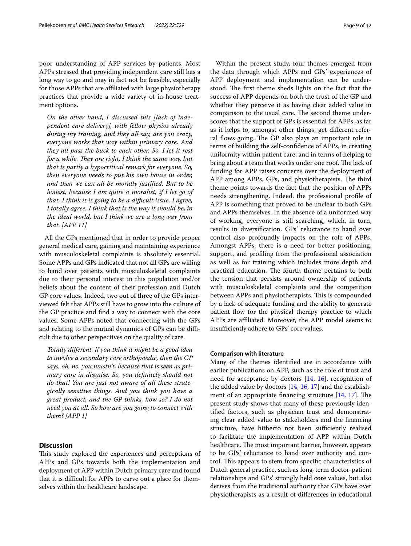poor understanding of APP services by patients. Most APPs stressed that providing independent care still has a long way to go and may in fact not be feasible, especially for those APPs that are afliated with large physiotherapy practices that provide a wide variety of in-house treatment options.

*On the other hand, I discussed this [lack of independent care delivery], with fellow physios already during my training, and they all say, are you crazy, everyone works that way within primary care. And they all pass the buck to each other. So, I let it rest for a while. They are right, I think the same way, but that is partly a hypocritical remark for everyone. So, then everyone needs to put his own house in order, and then we can all be morally justifed. But to be honest, because I am quite a moralist, if I let go of that, I think it is going to be a difcult issue. I agree, I totally agree, I think that is the way it should be, in the ideal world, but I think we are a long way from that. [APP 11]*

All the GPs mentioned that in order to provide proper general medical care, gaining and maintaining experience with musculoskeletal complaints is absolutely essential. Some APPs and GPs indicated that not all GPs are willing to hand over patients with musculoskeletal complaints due to their personal interest in this population and/or beliefs about the content of their profession and Dutch GP core values. Indeed, two out of three of the GPs interviewed felt that APPs still have to grow into the culture of the GP practice and fnd a way to connect with the core values. Some APPs noted that connecting with the GPs and relating to the mutual dynamics of GPs can be difficult due to other perspectives on the quality of care.

*Totally diferent, if you think it might be a good idea to involve a secondary care orthopaedic, then the GP says, oh, no, you mustn't, because that is seen as primary care in disguise. So, you defnitely should not do that! You are just not aware of all these strategically sensitive things. And you think you have a great product, and the GP thinks, how so? I do not need you at all. So how are you going to connect with them? [APP 1]*

### **Discussion**

This study explored the experiences and perceptions of APPs and GPs towards both the implementation and deployment of APP within Dutch primary care and found that it is difficult for APPs to carve out a place for themselves within the healthcare landscape.

Within the present study, four themes emerged from the data through which APPs and GPs' experiences of APP deployment and implementation can be understood. The first theme sheds lights on the fact that the success of APP depends on both the trust of the GP and whether they perceive it as having clear added value in comparison to the usual care. The second theme underscores that the support of GPs is essential for APPs, as far as it helps to, amongst other things, get diferent referral flows going. The GP also plays an important role in terms of building the self-confdence of APPs, in creating uniformity within patient care, and in terms of helping to bring about a team that works under one roof. The lack of funding for APP raises concerns over the deployment of APP among APPs, GPs, and physiotherapists. The third theme points towards the fact that the position of APPs needs strengthening. Indeed, the professional profle of APP is something that proved to be unclear to both GPs and APPs themselves. In the absence of a uniformed way of working, everyone is still searching, which, in turn, results in diversifcation. GPs' reluctance to hand over control also profoundly impacts on the role of APPs. Amongst APPs, there is a need for better positioning, support, and profling from the professional association as well as for training which includes more depth and practical education. The fourth theme pertains to both the tension that persists around ownership of patients with musculoskeletal complaints and the competition between APPs and physiotherapists. This is compounded by a lack of adequate funding and the ability to generate patient fow for the physical therapy practice to which APPs are afliated. Moreover, the APP model seems to insufficiently adhere to GPs' core values.

#### **Comparison with literature**

Many of the themes identifed are in accordance with earlier publications on APP, such as the role of trust and need for acceptance by doctors  $[14, 16]$  $[14, 16]$  $[14, 16]$  $[14, 16]$ , recognition of the added value by doctors [[14,](#page-11-12) [16](#page-11-17), [17](#page-11-18)] and the establishment of an appropriate financing structure  $[14, 17]$  $[14, 17]$  $[14, 17]$ . The present study shows that many of these previously identifed factors, such as physician trust and demonstrating clear added value to stakeholders and the fnancing structure, have hitherto not been sufficiently realised to facilitate the implementation of APP within Dutch healthcare. The most important barrier, however, appears to be GPs' reluctance to hand over authority and control. This appears to stem from specific characteristics of Dutch general practice, such as long-term doctor-patient relationships and GPs' strongly held core values, but also derives from the traditional authority that GPs have over physiotherapists as a result of diferences in educational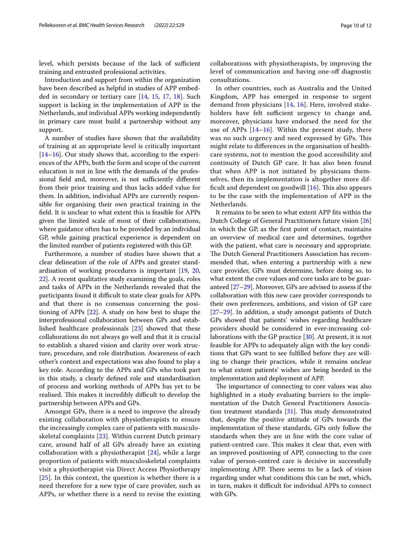level, which persists because of the lack of sufficient training and entrusted professional activities.

Introduction and support from within the organization have been described as helpful in studies of APP embedded in secondary or tertiary care [[14,](#page-11-12) [15,](#page-11-19) [17](#page-11-18), [18](#page-11-13)]. Such support is lacking in the implementation of APP in the Netherlands, and individual APPs working independently in primary care must build a partnership without any support.

A number of studies have shown that the availability of training at an appropriate level is critically important [[14–](#page-11-12)[16](#page-11-17)]. Our study shows that, according to the experiences of the APPs, both the form and scope of the current education is not in line with the demands of the professional field and, moreover, is not sufficiently different from their prior training and thus lacks added value for them. In addition, individual APPs are currently responsible for organising their own practical training in the feld. It is unclear to what extent this is feasible for APPs given the limited scale of most of their collaborations, where guidance often has to be provided by an individual GP, while gaining practical experience is dependent on the limited number of patients registered with this GP.

Furthermore, a number of studies have shown that a clear delineation of the role of APPs and greater standardisation of working procedures is important [\[19,](#page-11-14) [20](#page-11-15), [22\]](#page-11-20). A recent qualitative study examining the goals, roles and tasks of APPs in the Netherlands revealed that the participants found it difficult to state clear goals for APPs and that there is no consensus concerning the positioning of APPs [\[22](#page-11-20)]. A study on how best to shape the interprofessional collaboration between GPs and established healthcare professionals [\[23](#page-11-21)] showed that these collaborations do not always go well and that it is crucial to establish a shared vision and clarity over work structure, procedure, and role distribution. Awareness of each other's context and expectations was also found to play a key role. According to the APPs and GPs who took part in this study, a clearly defned role and standardisation of process and working methods of APPs has yet to be realised. This makes it incredibly difficult to develop the partnership between APPs and GPs.

Amongst GPs, there is a need to improve the already existing collaboration with physiotherapists to ensure the increasingly complex care of patients with musculoskeletal complaints [\[23](#page-11-21)]. Within current Dutch primary care, around half of all GPs already have an existing collaboration with a physiotherapist  $[24]$  $[24]$ , while a large proportion of patients with musculoskeletal complaints visit a physiotherapist via Direct Access Physiotherapy  $[25]$  $[25]$  $[25]$ . In this context, the question is whether there is a need therefore for a new type of care provider, such as APPs, or whether there is a need to revise the existing collaborations with physiotherapists, by improving the level of communication and having one-of diagnostic consultations.

In other countries, such as Australia and the United Kingdom, APP has emerged in response to urgent demand from physicians [[14](#page-11-12), [16](#page-11-17)]. Here, involved stakeholders have felt sufficient urgency to change and, moreover, physicians have endorsed the need for the use of APPs [\[14](#page-11-12)[–16](#page-11-17)]. Within the present study, there was no such urgency and need expressed by GPs. This might relate to diferences in the organisation of healthcare systems, not to mention the good accessibility and continuity of Dutch GP care. It has also been found that when APP is not initiated by physicians themselves, then its implementation is altogether more difficult and dependent on goodwill  $[16]$  $[16]$  $[16]$ . This also appears to be the case with the implementation of APP in the Netherlands.

It remains to be seen to what extent APP fts within the Dutch College of General Practitioners future vision [[26](#page-11-24)] in which the GP, as the frst point of contact, maintains an overview of medical care and determines, together with the patient, what care is necessary and appropriate. The Dutch General Practitioners Association has recommended that, when entering a partnership with a new care provider, GPs must determine, before doing so, to what extent the core values and core tasks are to be guaranteed [[27](#page-11-25)[–29](#page-11-26)]. Moreover, GPs are advised to assess if the collaboration with this new care provider corresponds to their own preferences, ambitions, and vision of GP care [[27–](#page-11-25)[29\]](#page-11-26). In addition, a study amongst patients of Dutch GPs showed that patients' wishes regarding healthcare providers should be considered in ever-increasing collaborations with the GP practice [\[30](#page-11-27)]. At present, it is not feasible for APPs to adequately align with the key conditions that GPs want to see fulflled before they are willing to change their practices, while it remains unclear to what extent patients' wishes are being heeded in the implementation and deployment of APP.

The importance of connecting to core values was also highlighted in a study evaluating barriers to the implementation of the Dutch General Practitioners Association treatment standards  $[31]$  $[31]$ . This study demonstrated that, despite the positive attitude of GPs towards the implementation of these standards, GPs only follow the standards when they are in line with the core value of patient-centred care. This makes it clear that, even with an improved positioning of APP, connecting to the core value of person-centred care is decisive in successfully implementing APP. There seems to be a lack of vision regarding under what conditions this can be met, which, in turn, makes it difficult for individual APPs to connect with GPs.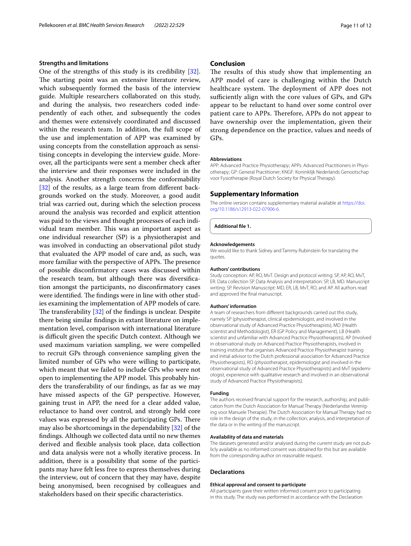#### **Strengths and limitations**

One of the strengths of this study is its credibility [\[32](#page-11-29)]. The starting point was an extensive literature review, which subsequently formed the basis of the interview guide. Multiple researchers collaborated on this study, and during the analysis, two researchers coded independently of each other, and subsequently the codes and themes were extensively coordinated and discussed within the research team. In addition, the full scope of the use and implementation of APP was examined by using concepts from the constellation approach as sensitising concepts in developing the interview guide. Moreover, all the participants were sent a member check after the interview and their responses were included in the analysis. Another strength concerns the conformability [[32\]](#page-11-29) of the results, as a large team from different backgrounds worked on the study. Moreover, a good audit trial was carried out, during which the selection process around the analysis was recorded and explicit attention was paid to the views and thought processes of each individual team member. This was an important aspect as one individual researcher (SP) is a physiotherapist and was involved in conducting an observational pilot study that evaluated the APP model of care and, as such, was more familiar with the perspective of APPs. The presence of possible disconfrmatory cases was discussed within the research team, but although there was diversifcation amongst the participants, no disconfrmatory cases were identified. The findings were in line with other studies examining the implementation of APP models of care. The transferability  $[32]$  $[32]$  $[32]$  of the findings is unclear. Despite there being similar fndings in extant literature on implementation level, comparison with international literature is difficult given the specific Dutch context. Although we used maximum variation sampling, we were compelled to recruit GPs through convenience sampling given the limited number of GPs who were willing to participate, which meant that we failed to include GPs who were not open to implementing the APP model. This probably hinders the transferability of our fndings, as far as we may have missed aspects of the GP perspective. However, gaining trust in APP, the need for a clear added value, reluctance to hand over control, and strongly held core values was expressed by all the participating GPs. There may also be shortcomings in the dependability [[32\]](#page-11-29) of the fndings. Although we collected data until no new themes derived and fexible analysis took place, data collection and data analysis were not a wholly iterative process. In addition, there is a possibility that some of the participants may have felt less free to express themselves during the interview, out of concern that they may have, despite being anonymised, been recognised by colleagues and stakeholders based on their specifc characteristics.

#### **Conclusion**

The results of this study show that implementing an APP model of care is challenging within the Dutch healthcare system. The deployment of APP does not sufficiently align with the core values of GPs, and GPs appear to be reluctant to hand over some control over patient care to APPs. Therefore, APPs do not appear to have ownership over the implementation, given their strong dependence on the practice, values and needs of GPs.

#### **Abbreviations**

APP: Advanced Practice Physiotherapy; APPs: Advanced Practitioners in Physiotherapy; GP: General Practitioner; KNGF: Koninklijk Nederlands Genootschap voor Fysiotherapie (Royal Dutch Society for Physical Therapy).

#### **Supplementary Information**

The online version contains supplementary material available at [https://doi.](https://doi.org/10.1186/s12913-022-07906-6) [org/10.1186/s12913-022-07906-6](https://doi.org/10.1186/s12913-022-07906-6).

<span id="page-10-0"></span>**Additional fle 1.**

#### **Acknowledgements**

We would like to thank Sidney and Tammy Rubinstein for translating the quotes.

#### **Authors' contributions**

Study conception: AP, RO, MvT. Design and protocol writing: SP, AP, RO, MvT, ER. Data collection SP. Data Analysis and interpretation: SP, LB, MD. Manuscript writing: SP. Revision Manuscript: MD, ER, LB, MvT, RO, and AP. All authors read and approved the fnal manuscript.

#### **Authors' information**

A team of researchers from diferent backgrounds carried out this study, namely SP (physiotherapist, clinical epidemiologist, and involved in the observational study of Advanced Practice Physiotherapists), MD (Health scientist and Methodologist), ER (GP Policy and Management), LB (Health scientist and unfamiliar with Advanced Practice Physiotherapists), AP (Involved in observational study on Advanced Practice Physiotherapists, involved in training institute that organises Advanced Practice Physiotherapist training and initial advisor to the Dutch professional association for Advanced Practice Physiotherapists), RO (physiotherapist, epidemiologist and involved in the observational study of Advanced Practice Physiotherapists) and MvT (epidemi‑ ologist, experience with qualitative research and involved in an observational study of Advanced Practice Physiotherapists).

#### **Funding**

The authors received financial support for the research, authorship, and publication from the Dutch Association for Manual Therapy (Nederlandse Vereniging voor Manuele Therapie). The Dutch Association for Manual Therapy had no role in the design of the study, in the collection, analysis, and interpretation of the data or in the writing of the manuscript.

#### **Availability of data and materials**

The datasets generated and/or analysed during the current study are not publicly available as no informed consent was obtained for this but are available from the corresponding author on reasonable request.

#### **Declarations**

#### **Ethical approval and consent to participate**

All participants gave their written informed consent prior to participating in this study. The study was performed in accordance with the Declaration